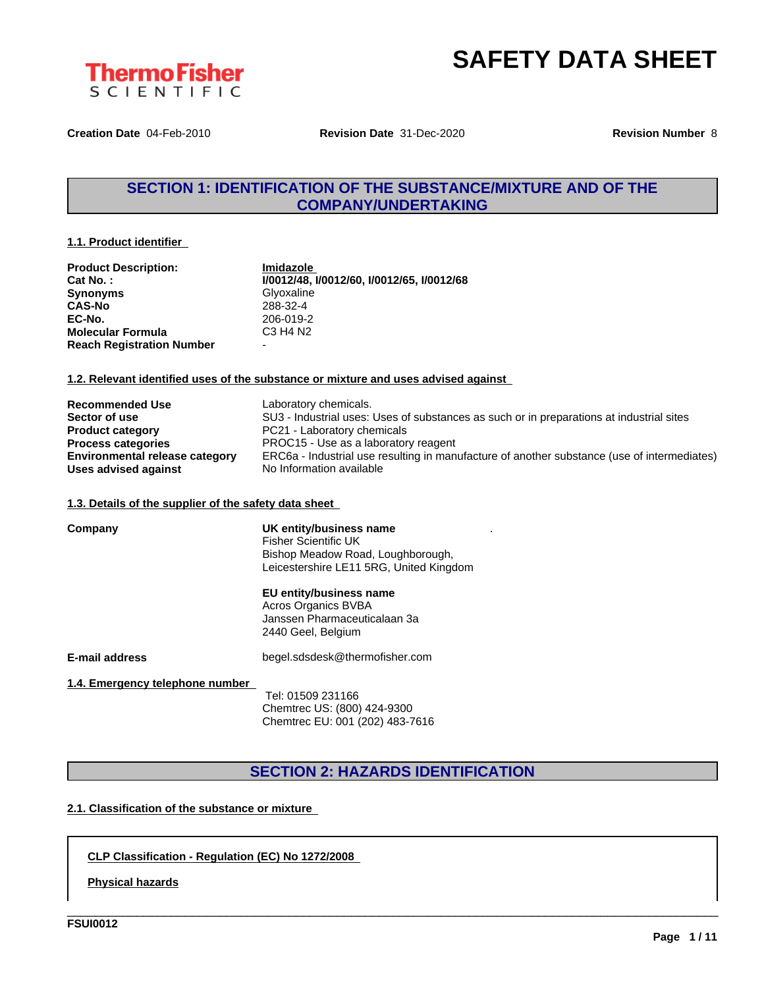



**Creation Date** 04-Feb-2010 **Revision Date** 31-Dec-2020 **Revision Number** 8

## **SECTION 1: IDENTIFICATION OF THE SUBSTANCE/MIXTURE AND OF THE COMPANY/UNDERTAKING**

#### **1.1. Product identifier**

| <b>Product Description:</b>      | Imidazole                                  |
|----------------------------------|--------------------------------------------|
| Cat No.:                         | I/0012/48, I/0012/60, I/0012/65, I/0012/68 |
| <b>Synonyms</b>                  | Glvoxaline                                 |
| <b>CAS-No</b>                    | 288-32-4                                   |
| EC-No.                           | 206-019-2                                  |
| <b>Molecular Formula</b>         | C3 H4 N2                                   |
| <b>Reach Registration Number</b> | -                                          |

#### **1.2. Relevant identified uses of the substance or mixture and uses advised against**

| <b>Recommended Use</b>                | Laboratory chemicals.                                                                       |
|---------------------------------------|---------------------------------------------------------------------------------------------|
| Sector of use                         | SU3 - Industrial uses: Uses of substances as such or in preparations at industrial sites    |
| <b>Product category</b>               | PC21 - Laboratory chemicals                                                                 |
| <b>Process categories</b>             | PROC15 - Use as a laboratory reagent                                                        |
| <b>Environmental release category</b> | ERC6a - Industrial use resulting in manufacture of another substance (use of intermediates) |
| Uses advised against                  | No Information available                                                                    |

#### **1.3. Details of the supplier of the safety data sheet**

| Company                         | UK entity/business name<br><b>Fisher Scientific UK</b><br>Bishop Meadow Road, Loughborough,<br>Leicestershire LE11 5RG, United Kingdom |  |  |
|---------------------------------|----------------------------------------------------------------------------------------------------------------------------------------|--|--|
|                                 | EU entity/business name<br>Acros Organics BVBA<br>Janssen Pharmaceuticalaan 3a<br>2440 Geel, Belgium                                   |  |  |
| <b>E-mail address</b>           | begel.sdsdesk@thermofisher.com                                                                                                         |  |  |
| 1.4. Emergency telephone number | Tel: 01509 231166<br>Chemtrec US: (800) 424-9300<br>Chemtrec EU: 001 (202) 483-7616                                                    |  |  |

## **SECTION 2: HAZARDS IDENTIFICATION**

\_\_\_\_\_\_\_\_\_\_\_\_\_\_\_\_\_\_\_\_\_\_\_\_\_\_\_\_\_\_\_\_\_\_\_\_\_\_\_\_\_\_\_\_\_\_\_\_\_\_\_\_\_\_\_\_\_\_\_\_\_\_\_\_\_\_\_\_\_\_\_\_\_\_\_\_\_\_\_\_\_\_\_\_\_\_\_\_\_\_\_\_\_\_

#### **2.1. Classification of the substance or mixture**

#### **CLP Classification - Regulation (EC) No 1272/2008**

**Physical hazards**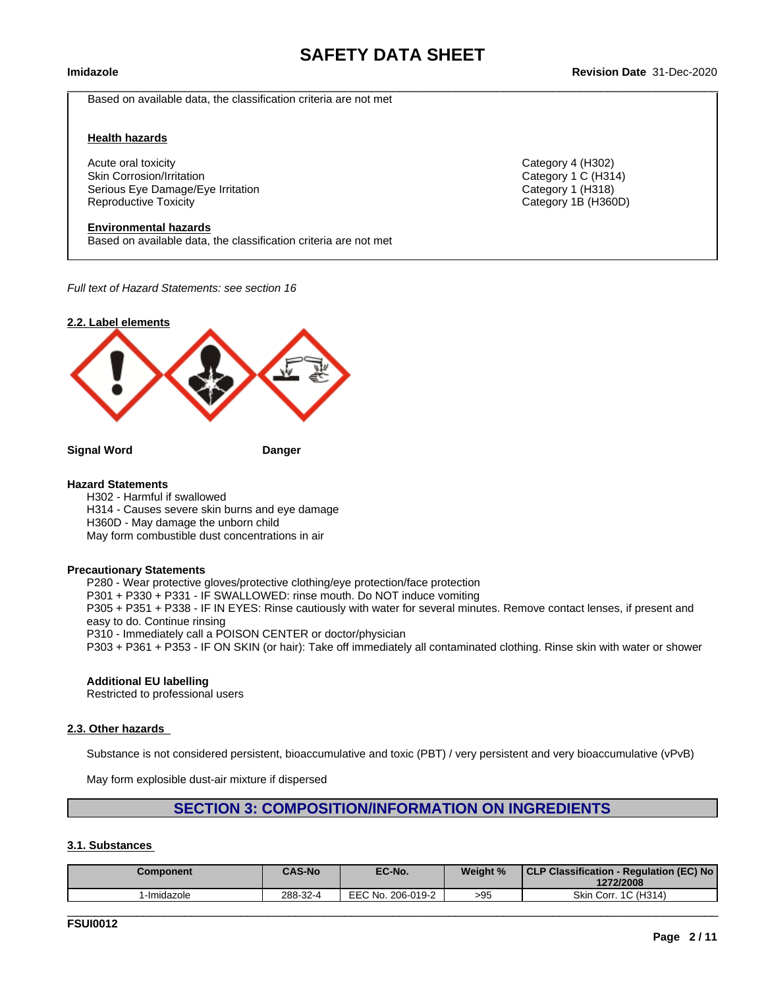$\_$  ,  $\_$  ,  $\_$  ,  $\_$  ,  $\_$  ,  $\_$  ,  $\_$  ,  $\_$  ,  $\_$  ,  $\_$  ,  $\_$  ,  $\_$  ,  $\_$  ,  $\_$  ,  $\_$  ,  $\_$  ,  $\_$  ,  $\_$  ,  $\_$  ,  $\_$  ,  $\_$  ,  $\_$  ,  $\_$  ,  $\_$  ,  $\_$  ,  $\_$  ,  $\_$  ,  $\_$  ,  $\_$  ,  $\_$  ,  $\_$  ,  $\_$  ,  $\_$  ,  $\_$  ,  $\_$  ,  $\_$  ,  $\_$  ,

#### **Imidazole Revision Date** 31-Dec-2020

Based on available data, the classification criteria are not met

#### **Health hazards**

Acute oral toxicity Category 4 (H302) Skin Corrosion/Irritation **Category 1 C** (H314) Serious Eye Damage/Eye Irritation Category 1 (H318) Reproductive Toxicity Category 1B (H360D)

#### **Environmental hazards**

Based on available data, the classification criteria are not met

*Full text of Hazard Statements: see section 16*



**Signal Word Danger**

#### **Hazard Statements**

H302 - Harmful if swallowed H314 - Causes severe skin burns and eye damage H360D - May damage the unborn child May form combustible dust concentrations in air

#### **Precautionary Statements**

P280 - Wear protective gloves/protective clothing/eye protection/face protection P301 + P330 + P331 - IF SWALLOWED: rinse mouth. Do NOT induce vomiting P305 + P351 + P338 - IF IN EYES: Rinse cautiously with water for several minutes. Remove contact lenses, if present and easy to do. Continue rinsing P310 - Immediately call a POISON CENTER or doctor/physician P303 + P361 + P353 - IF ON SKIN (or hair): Take off immediately all contaminated clothing. Rinse skin with water or shower

#### **Additional EU labelling**

Restricted to professional users

#### **2.3. Other hazards**

Substance is not considered persistent, bioaccumulative and toxic (PBT) / very persistent and very bioaccumulative (vPvB)

May form explosible dust-air mixture if dispersed

#### **SECTION 3: COMPOSITION/INFORMATION ON INGREDIENTS**

#### **3.1. Substances**

| <b>Component</b> | <b>CAS-No</b> | EC-No.            | Weight % | CLP Classification - Regulation (EC) No<br>1272/2008 |
|------------------|---------------|-------------------|----------|------------------------------------------------------|
| -Imidazole       | 288-32-4      | EEC No. 206-019-2 | >95      | Skin Corr. 1C (H314)                                 |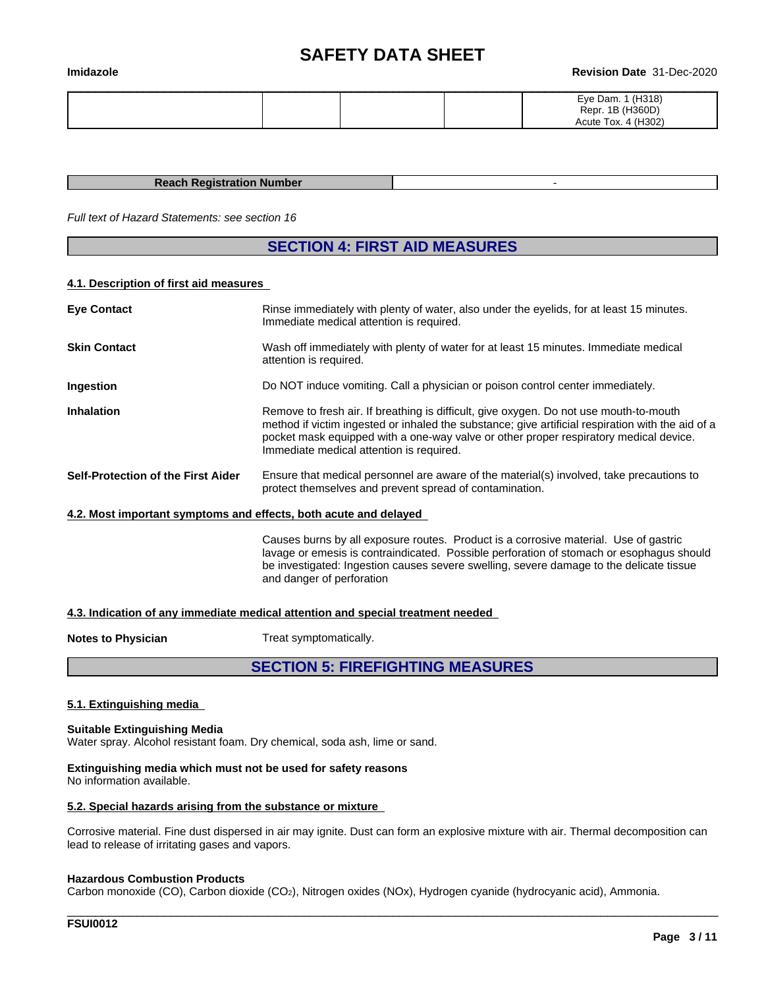#### **Imidazole Revision Date** 31-Dec-2020

|  |  | (H318)<br>Eye Dam.  |
|--|--|---------------------|
|  |  | Repr. 1B (H360D)    |
|  |  | Acute Tox. 4 (H302) |

#### **Reach Registration Number** -

*Full text of Hazard Statements: see section 16*

## **SECTION 4: FIRST AID MEASURES**

#### **4.1. Description of first aid measures**

| <b>Eye Contact</b>                                               | Rinse immediately with plenty of water, also under the eyelids, for at least 15 minutes.<br>Immediate medical attention is required.                                                                                                                                                                                             |  |
|------------------------------------------------------------------|----------------------------------------------------------------------------------------------------------------------------------------------------------------------------------------------------------------------------------------------------------------------------------------------------------------------------------|--|
| <b>Skin Contact</b>                                              | Wash off immediately with plenty of water for at least 15 minutes. Immediate medical<br>attention is required.                                                                                                                                                                                                                   |  |
| Ingestion                                                        | Do NOT induce vomiting. Call a physician or poison control center immediately.                                                                                                                                                                                                                                                   |  |
| <b>Inhalation</b>                                                | Remove to fresh air. If breathing is difficult, give oxygen. Do not use mouth-to-mouth<br>method if victim ingested or inhaled the substance; give artificial respiration with the aid of a<br>pocket mask equipped with a one-way valve or other proper respiratory medical device.<br>Immediate medical attention is required. |  |
| Self-Protection of the First Aider                               | Ensure that medical personnel are aware of the material(s) involved, take precautions to<br>protect themselves and prevent spread of contamination.                                                                                                                                                                              |  |
| 4.2. Most important symptoms and effects, both acute and delayed |                                                                                                                                                                                                                                                                                                                                  |  |
|                                                                  | Causes burns by all exposure routes. Product is a corrosive material. Use of gastric<br>lavage or emesis is contraindicated. Possible perforation of stomach or esophagus should<br>be investigated: Ingestion causes severe swelling, severe damage to the delicate tissue<br>and danger of perforation                         |  |
|                                                                  | 4.3. Indication of any immediate medical attention and special treatment needed                                                                                                                                                                                                                                                  |  |

| <b>Notes to Physician</b> | Treat symptomatically. |
|---------------------------|------------------------|
|---------------------------|------------------------|

## **SECTION 5: FIREFIGHTING MEASURES**

#### **5.1. Extinguishing media**

**Suitable Extinguishing Media** Water spray. Alcohol resistant foam. Dry chemical, soda ash, lime or sand.

#### **Extinguishing media which must not be used for safety reasons** No information available.

#### **5.2. Special hazards arising from the substance or mixture**

Corrosive material. Fine dust dispersed in air may ignite. Dust can form an explosive mixture with air. Thermal decomposition can lead to release of irritating gases and vapors.

\_\_\_\_\_\_\_\_\_\_\_\_\_\_\_\_\_\_\_\_\_\_\_\_\_\_\_\_\_\_\_\_\_\_\_\_\_\_\_\_\_\_\_\_\_\_\_\_\_\_\_\_\_\_\_\_\_\_\_\_\_\_\_\_\_\_\_\_\_\_\_\_\_\_\_\_\_\_\_\_\_\_\_\_\_\_\_\_\_\_\_\_\_\_

#### **Hazardous Combustion Products**

Carbon monoxide (CO), Carbon dioxide (CO2), Nitrogen oxides (NOx), Hydrogen cyanide (hydrocyanic acid), Ammonia.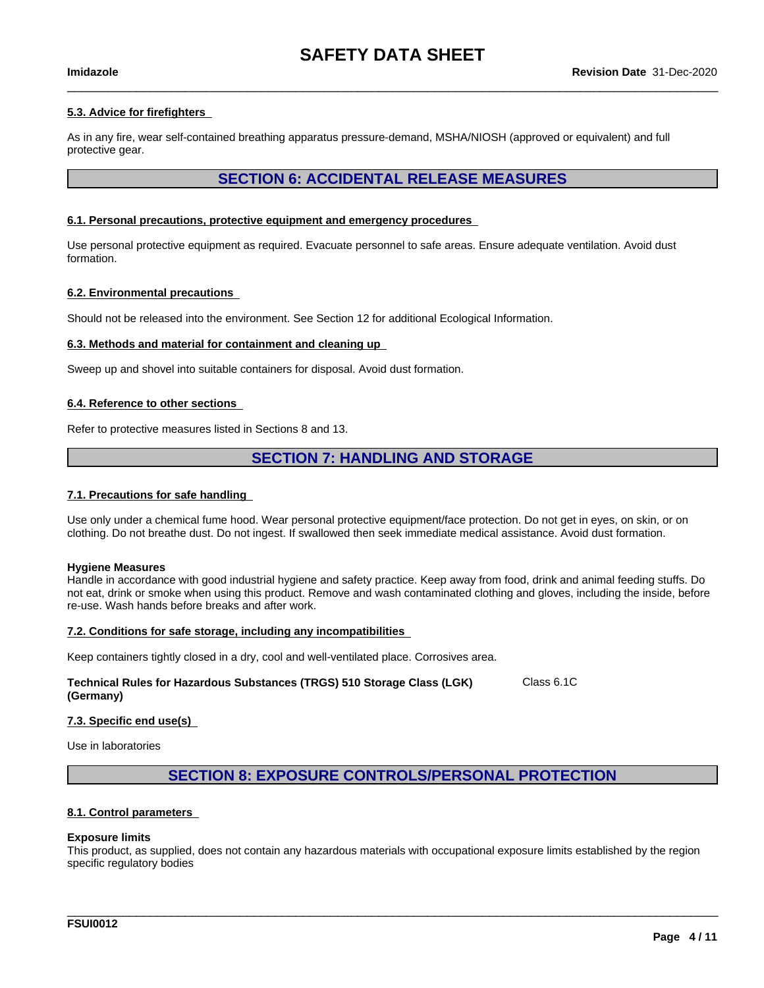$\_$  ,  $\_$  ,  $\_$  ,  $\_$  ,  $\_$  ,  $\_$  ,  $\_$  ,  $\_$  ,  $\_$  ,  $\_$  ,  $\_$  ,  $\_$  ,  $\_$  ,  $\_$  ,  $\_$  ,  $\_$  ,  $\_$  ,  $\_$  ,  $\_$  ,  $\_$  ,  $\_$  ,  $\_$  ,  $\_$  ,  $\_$  ,  $\_$  ,  $\_$  ,  $\_$  ,  $\_$  ,  $\_$  ,  $\_$  ,  $\_$  ,  $\_$  ,  $\_$  ,  $\_$  ,  $\_$  ,  $\_$  ,  $\_$  ,

#### **5.3. Advice for firefighters**

As in any fire, wear self-contained breathing apparatus pressure-demand, MSHA/NIOSH (approved or equivalent) and full protective gear.

### **SECTION 6: ACCIDENTAL RELEASE MEASURES**

#### **6.1. Personal precautions, protective equipment and emergency procedures**

Use personal protective equipment as required. Evacuate personnel to safe areas. Ensure adequate ventilation. Avoid dust formation.

#### **6.2. Environmental precautions**

Should not be released into the environment. See Section 12 for additional Ecological Information.

#### **6.3. Methods and material for containment and cleaning up**

Sweep up and shovel into suitable containers for disposal. Avoid dust formation.

#### **6.4. Reference to other sections**

Refer to protective measures listed in Sections 8 and 13.

### **SECTION 7: HANDLING AND STORAGE**

#### **7.1. Precautions for safe handling**

Use only under a chemical fume hood. Wear personal protective equipment/face protection. Do not get in eyes, on skin, or on clothing. Do not breathe dust. Do not ingest. If swallowed then seek immediate medical assistance. Avoid dust formation.

#### **Hygiene Measures**

Handle in accordance with good industrial hygiene and safety practice. Keep away from food, drink and animal feeding stuffs. Do not eat, drink or smoke when using this product. Remove and wash contaminated clothing and gloves, including the inside, before re-use. Wash hands before breaks and after work.

#### **7.2. Conditions for safe storage, including any incompatibilities**

Keep containers tightly closed in a dry, cool and well-ventilated place. Corrosives area.

#### **Technical Rules for Hazardous Substances (TRGS) 510 Storage Class (LGK) (Germany)** Class 6.1C

#### **7.3. Specific end use(s)**

Use in laboratories

#### **SECTION 8: EXPOSURE CONTROLS/PERSONAL PROTECTION**

#### **8.1. Control parameters**

#### **Exposure limits**

This product, as supplied, does not contain any hazardous materials with occupational exposure limits established by the region specific regulatory bodies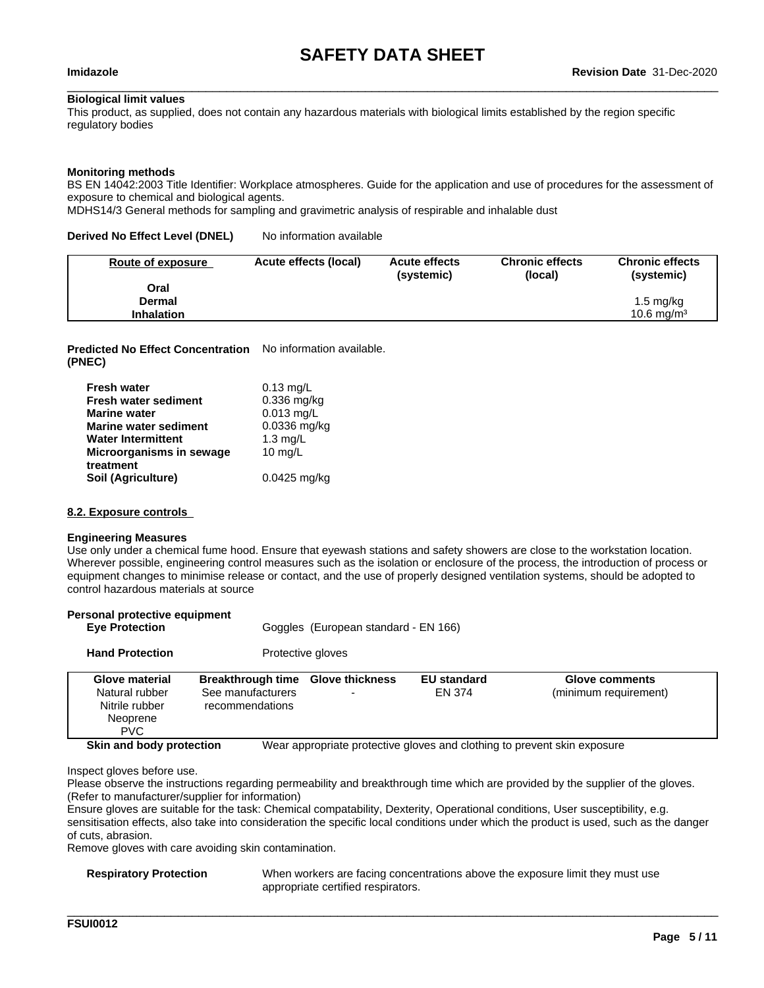$\_$  ,  $\_$  ,  $\_$  ,  $\_$  ,  $\_$  ,  $\_$  ,  $\_$  ,  $\_$  ,  $\_$  ,  $\_$  ,  $\_$  ,  $\_$  ,  $\_$  ,  $\_$  ,  $\_$  ,  $\_$  ,  $\_$  ,  $\_$  ,  $\_$  ,  $\_$  ,  $\_$  ,  $\_$  ,  $\_$  ,  $\_$  ,  $\_$  ,  $\_$  ,  $\_$  ,  $\_$  ,  $\_$  ,  $\_$  ,  $\_$  ,  $\_$  ,  $\_$  ,  $\_$  ,  $\_$  ,  $\_$  ,  $\_$  ,

#### **Biological limit values**

This product, as supplied, does not contain any hazardous materials with biological limits established by the region specific regulatory bodies

#### **Monitoring methods**

BS EN 14042:2003 Title Identifier: Workplace atmospheres. Guide for the application and use of procedures for the assessment of exposure to chemical and biological agents.

MDHS14/3 General methods for sampling and gravimetric analysis of respirable and inhalable dust

#### **Derived No Effect Level (DNEL)** No information available

| Route of exposure | Acute effects (local) | <b>Acute effects</b><br>(systemic) | <b>Chronic effects</b><br>(local) | <b>Chronic effects</b><br>(systemic) |
|-------------------|-----------------------|------------------------------------|-----------------------------------|--------------------------------------|
| Oral              |                       |                                    |                                   |                                      |
| Dermal            |                       |                                    |                                   | $1.5 \text{ mg/kg}$                  |
| <b>Inhalation</b> |                       |                                    |                                   | $10.6 \text{ ma/m}^3$                |

**Predicted No Effect Concentration** No information available. **(PNEC)**

| <b>Fresh water</b>           | $0.13$ mg/L    |
|------------------------------|----------------|
| <b>Fresh water sediment</b>  | $0.336$ mg/kg  |
| <b>Marine water</b>          | $0.013$ mg/L   |
| <b>Marine water sediment</b> | $0.0336$ mg/kg |
| <b>Water Intermittent</b>    | 1.3 $mg/L$     |
| Microorganisms in sewage     | 10 $mg/L$      |
| treatment                    |                |
| Soil (Agriculture)           | $0.0425$ mg/kg |

#### **8.2. Exposure controls**

#### **Engineering Measures**

Use only under a chemical fume hood. Ensure that eyewash stations and safety showers are close to the workstation location. Wherever possible, engineering control measures such as the isolation or enclosure of the process, the introduction of process or equipment changes to minimise release or contact, and the use of properly designed ventilation systems, should be adopted to control hazardous materials at source

| Personal protective equipment<br><b>Eye Protection</b>                       |                                                                           | Goggles (European standard - EN 166) |                              |                                                                          |
|------------------------------------------------------------------------------|---------------------------------------------------------------------------|--------------------------------------|------------------------------|--------------------------------------------------------------------------|
| <b>Hand Protection</b>                                                       | Protective gloves                                                         |                                      |                              |                                                                          |
| Glove material<br>Natural rubber<br>Nitrile rubber<br>Neoprene<br><b>PVC</b> | Breakthrough time Glove thickness<br>See manufacturers<br>recommendations |                                      | <b>EU standard</b><br>EN 374 | <b>Glove comments</b><br>(minimum requirement)                           |
| Skin and body protection                                                     |                                                                           |                                      |                              | Wear appropriate protective gloves and clothing to prevent skin exposure |

Inspect gloves before use.

Please observe the instructions regarding permeability and breakthrough time which are provided by the supplier of the gloves. (Refer to manufacturer/supplier for information)

Ensure gloves are suitable for the task: Chemical compatability, Dexterity, Operational conditions, User susceptibility, e.g. sensitisation effects, also take into consideration the specific local conditions under which the product is used, such as the danger of cuts, abrasion.

Remove gloves with care avoiding skin contamination.

**Respiratory Protection** When workers are facing concentrations above the exposure limit they must use appropriate certified respirators.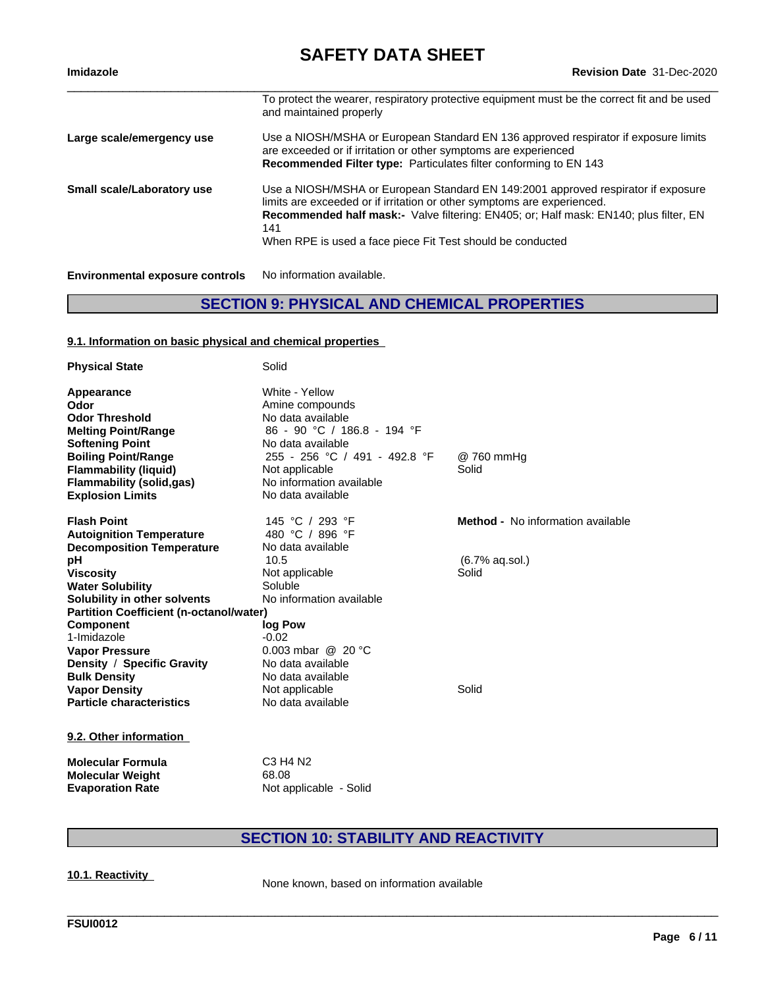**Imidazole Revision Date** 31-Dec-2020

|                                        | To protect the wearer, respiratory protective equipment must be the correct fit and be used<br>and maintained properly                                                                                                                                                                                                            |
|----------------------------------------|-----------------------------------------------------------------------------------------------------------------------------------------------------------------------------------------------------------------------------------------------------------------------------------------------------------------------------------|
| Large scale/emergency use              | Use a NIOSH/MSHA or European Standard EN 136 approved respirator if exposure limits<br>are exceeded or if irritation or other symptoms are experienced<br>Recommended Filter type: Particulates filter conforming to EN 143                                                                                                       |
| <b>Small scale/Laboratory use</b>      | Use a NIOSH/MSHA or European Standard EN 149:2001 approved respirator if exposure<br>limits are exceeded or if irritation or other symptoms are experienced.<br><b>Recommended half mask:-</b> Valve filtering: EN405; or: Half mask: EN140; plus filter, EN<br>141<br>When RPE is used a face piece Fit Test should be conducted |
| <b>Environmental exposure controls</b> | No information available.                                                                                                                                                                                                                                                                                                         |

## **SECTION 9: PHYSICAL AND CHEMICAL PROPERTIES**

#### **9.1. Information on basic physical and chemical properties**

| <b>Physical State</b>                                                                                                             | Solid                                                                                                                                       |                                          |
|-----------------------------------------------------------------------------------------------------------------------------------|---------------------------------------------------------------------------------------------------------------------------------------------|------------------------------------------|
| Appearance<br>Odor<br><b>Odor Threshold</b><br><b>Melting Point/Range</b><br><b>Softening Point</b><br><b>Boiling Point/Range</b> | White - Yellow<br>Amine compounds<br>No data available<br>86 - 90 °C / 186.8 - 194 °F<br>No data available<br>255 - 256 °C / 491 - 492.8 °F | @ 760 mmHg                               |
| <b>Flammability (liquid)</b><br><b>Flammability (solid,gas)</b><br><b>Explosion Limits</b>                                        | Not applicable<br>No information available<br>No data available                                                                             | Solid                                    |
| <b>Flash Point</b>                                                                                                                | 145 °C / 293 °F                                                                                                                             | <b>Method -</b> No information available |
| <b>Autoignition Temperature</b>                                                                                                   | 480 °C / 896 °F                                                                                                                             |                                          |
| <b>Decomposition Temperature</b>                                                                                                  | No data available                                                                                                                           |                                          |
| рH                                                                                                                                | 10.5                                                                                                                                        | (6.7% aq.sol.)                           |
| <b>Viscosity</b>                                                                                                                  | Not applicable                                                                                                                              | Solid                                    |
| <b>Water Solubility</b>                                                                                                           | Soluble                                                                                                                                     |                                          |
| Solubility in other solvents                                                                                                      | No information available                                                                                                                    |                                          |
| <b>Partition Coefficient (n-octanol/water)</b>                                                                                    |                                                                                                                                             |                                          |
| <b>Component</b>                                                                                                                  | log Pow                                                                                                                                     |                                          |
| 1-Imidazole                                                                                                                       | $-0.02$                                                                                                                                     |                                          |
| <b>Vapor Pressure</b>                                                                                                             | 0.003 mbar $@$ 20 °C                                                                                                                        |                                          |
| Density / Specific Gravity                                                                                                        | No data available                                                                                                                           |                                          |
| <b>Bulk Density</b>                                                                                                               | No data available                                                                                                                           |                                          |
| <b>Vapor Density</b>                                                                                                              | Not applicable                                                                                                                              | Solid                                    |
| <b>Particle characteristics</b>                                                                                                   | No data available                                                                                                                           |                                          |
| 9.2. Other information                                                                                                            |                                                                                                                                             |                                          |
| <b>Molecular Formula</b>                                                                                                          | C <sub>3</sub> H <sub>4</sub> N <sub>2</sub>                                                                                                |                                          |
| <b>Molecular Weight</b>                                                                                                           | 68.08                                                                                                                                       |                                          |
| <b>Evaporation Rate</b>                                                                                                           | Not applicable - Solid                                                                                                                      |                                          |

## **SECTION 10: STABILITY AND REACTIVITY**

\_\_\_\_\_\_\_\_\_\_\_\_\_\_\_\_\_\_\_\_\_\_\_\_\_\_\_\_\_\_\_\_\_\_\_\_\_\_\_\_\_\_\_\_\_\_\_\_\_\_\_\_\_\_\_\_\_\_\_\_\_\_\_\_\_\_\_\_\_\_\_\_\_\_\_\_\_\_\_\_\_\_\_\_\_\_\_\_\_\_\_\_\_\_

**10.1. Reactivity** None known, based on information available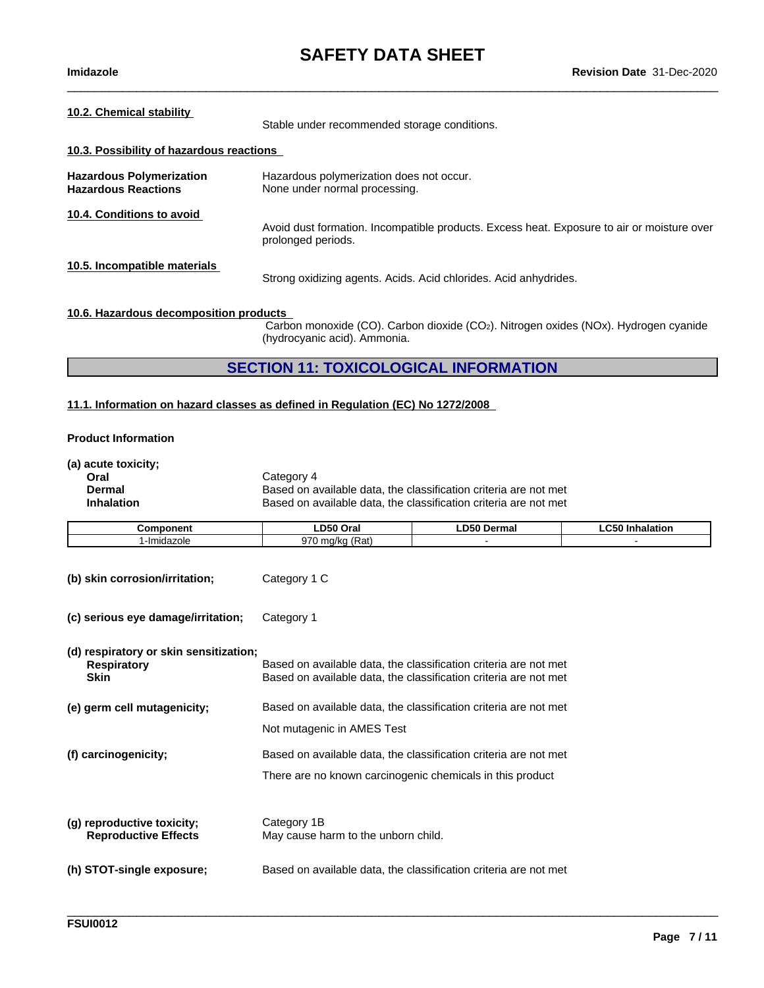$\_$  ,  $\_$  ,  $\_$  ,  $\_$  ,  $\_$  ,  $\_$  ,  $\_$  ,  $\_$  ,  $\_$  ,  $\_$  ,  $\_$  ,  $\_$  ,  $\_$  ,  $\_$  ,  $\_$  ,  $\_$  ,  $\_$  ,  $\_$  ,  $\_$  ,  $\_$  ,  $\_$  ,  $\_$  ,  $\_$  ,  $\_$  ,  $\_$  ,  $\_$  ,  $\_$  ,  $\_$  ,  $\_$  ,  $\_$  ,  $\_$  ,  $\_$  ,  $\_$  ,  $\_$  ,  $\_$  ,  $\_$  ,  $\_$  ,

| Stable under recommended storage conditions.                                                                                                                  |  |  |  |
|---------------------------------------------------------------------------------------------------------------------------------------------------------------|--|--|--|
| 10.3. Possibility of hazardous reactions                                                                                                                      |  |  |  |
| Hazardous polymerization does not occur.<br>None under normal processing.                                                                                     |  |  |  |
| Avoid dust formation. Incompatible products. Excess heat. Exposure to air or moisture over<br>prolonged periods.                                              |  |  |  |
| Strong oxidizing agents. Acids. Acid chlorides. Acid anhydrides.                                                                                              |  |  |  |
| 10.6. Hazardous decomposition products<br>Carbon monoxide (CO). Carbon dioxide (CO2). Nitrogen oxides (NOx). Hydrogen cyanide<br>(hydrocyanic acid). Ammonia. |  |  |  |
|                                                                                                                                                               |  |  |  |

## **SECTION 11: TOXICOLOGICAL INFORMATION**

#### **11.1. Information on hazard classes as defined in Regulation (EC) No 1272/2008**

#### **Product Information**

**(a) acute toxicity;**

| Oral              | Category 4                                                       |
|-------------------|------------------------------------------------------------------|
| Dermal            | Based on available data, the classification criteria are not met |
| <b>Inhalation</b> | Based on available data, the classification criteria are not met |

| <b>Component</b>                                                            | LD50 Oral                                                 | <b>LD50 Dermal</b>                                                                                                                   | <b>LC50 Inhalation</b> |
|-----------------------------------------------------------------------------|-----------------------------------------------------------|--------------------------------------------------------------------------------------------------------------------------------------|------------------------|
| 1-Imidazole                                                                 | 970 mg/kg (Rat)                                           |                                                                                                                                      |                        |
| (b) skin corrosion/irritation;                                              | Category 1 C                                              |                                                                                                                                      |                        |
| (c) serious eye damage/irritation;                                          | Category 1                                                |                                                                                                                                      |                        |
| (d) respiratory or skin sensitization;<br><b>Respiratory</b><br><b>Skin</b> |                                                           | Based on available data, the classification criteria are not met<br>Based on available data, the classification criteria are not met |                        |
| (e) germ cell mutagenicity;                                                 |                                                           | Based on available data, the classification criteria are not met                                                                     |                        |
|                                                                             | Not mutagenic in AMES Test                                |                                                                                                                                      |                        |
| (f) carcinogenicity;                                                        |                                                           | Based on available data, the classification criteria are not met                                                                     |                        |
|                                                                             | There are no known carcinogenic chemicals in this product |                                                                                                                                      |                        |
|                                                                             |                                                           |                                                                                                                                      |                        |
| (g) reproductive toxicity;<br><b>Reproductive Effects</b>                   | Category 1B<br>May cause harm to the unborn child.        |                                                                                                                                      |                        |
| (h) STOT-single exposure;                                                   |                                                           | Based on available data, the classification criteria are not met                                                                     |                        |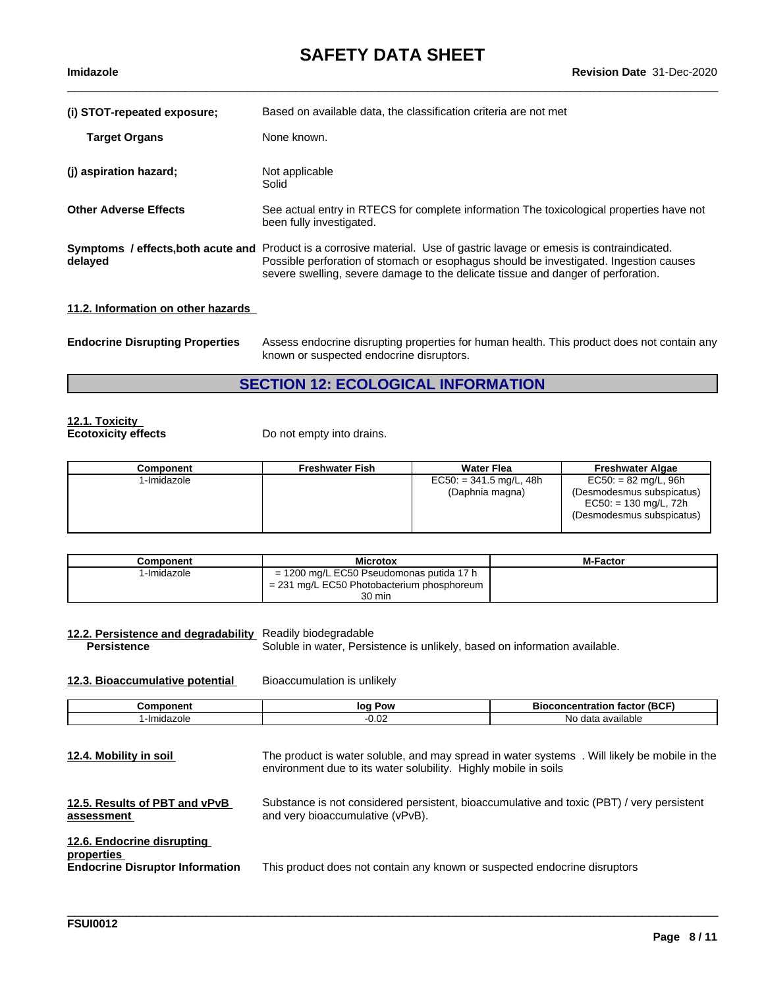| (i) STOT-repeated exposure;                   | Based on available data, the classification criteria are not met                                                                                                                                                                                                  |
|-----------------------------------------------|-------------------------------------------------------------------------------------------------------------------------------------------------------------------------------------------------------------------------------------------------------------------|
| <b>Target Organs</b>                          | None known.                                                                                                                                                                                                                                                       |
| (j) aspiration hazard;                        | Not applicable<br>Solid                                                                                                                                                                                                                                           |
| <b>Other Adverse Effects</b>                  | See actual entry in RTECS for complete information The toxicological properties have not<br>been fully investigated.                                                                                                                                              |
| Symptoms / effects, both acute and<br>delayed | Product is a corrosive material. Use of gastric lavage or emesis is contraindicated.<br>Possible perforation of stomach or esophagus should be investigated. Ingestion causes<br>severe swelling, severe damage to the delicate tissue and danger of perforation. |
|                                               |                                                                                                                                                                                                                                                                   |

### **11.2. Information on other hazards**

| <b>Endocrine Disrupting Properties</b> | Assess endocrine disrupting properties for human health. This product does not contain any |
|----------------------------------------|--------------------------------------------------------------------------------------------|
|                                        | known or suspected endocrine disruptors.                                                   |

## **SECTION 12: ECOLOGICAL INFORMATION**

## **12.1. Toxicity**

**Ecotoxicity effects** Do not empty into drains.

| Component   | <b>Freshwater Fish</b> | <b>Water Flea</b>                            | <b>Freshwater Algae</b>                                                                                     |
|-------------|------------------------|----------------------------------------------|-------------------------------------------------------------------------------------------------------------|
| 1-Imidazole |                        | $EC50: = 341.5$ mg/L, 48h<br>(Daphnia magna) | $EC50: = 82$ mg/L, 96h<br>(Desmodesmus subspicatus)<br>$EC50: = 130$ mg/L, 72h<br>(Desmodesmus subspicatus) |
|             |                        |                                              |                                                                                                             |

| Component   | <b>Microtox</b>                              | <b>M-Factor</b> |
|-------------|----------------------------------------------|-----------------|
| I-Imidazole | $= 1200$ mg/L EC50 Pseudomonas putida 17 h   |                 |
|             | $= 231$ mg/L EC50 Photobacterium phosphoreum |                 |
|             | 30 min                                       |                 |

**12.2. Persistence and degradability** Readily biodegradable Soluble in water, Persistence is unlikely, based on information available.

**12.3. Bioaccumulative potential** Bioaccumulation is unlikely

| onent                                  | Pow<br>loq      | $\epsilon$ (BCF<br>. atlor<br>enı<br>ш |
|----------------------------------------|-----------------|----------------------------------------|
| $-10$<br>$-1$<br>.-Im<br>71<br>luazult | $\sim$<br>-v.ve | Nο<br>$\sim$<br>data<br>avallable      |

| 12.4. Mobility in soil                                                             | The product is water soluble, and may spread in water systems. Will likely be mobile in the<br>environment due to its water solubility. Highly mobile in soils |
|------------------------------------------------------------------------------------|----------------------------------------------------------------------------------------------------------------------------------------------------------------|
| 12.5. Results of PBT and vPvB<br>assessment                                        | Substance is not considered persistent, bioaccumulative and toxic (PBT) / very persistent<br>and very bioaccumulative (vPvB).                                  |
| 12.6. Endocrine disrupting<br>properties<br><b>Endocrine Disruptor Information</b> | This product does not contain any known or suspected endocrine disruptors                                                                                      |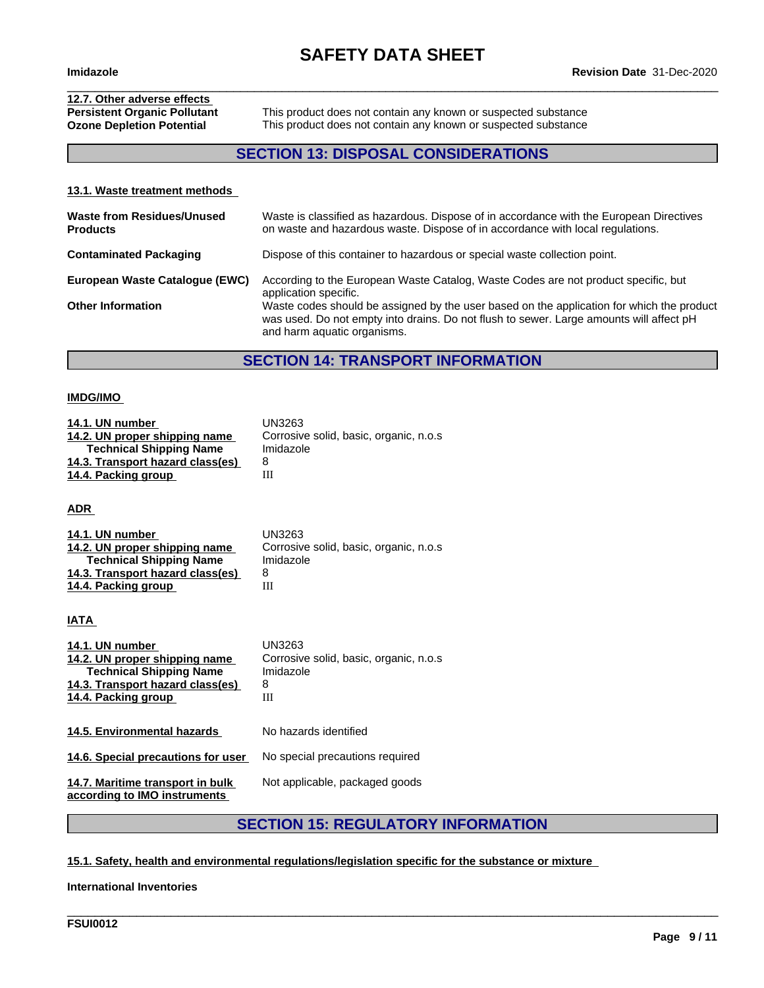# **12.7. Other adverse effects**

**Persistent Organic Pollutant** This product does not contain any known or suspected substance<br> **Ozone Depletion Potential** This product does not contain any known or suspected substance This product does not contain any known or suspected substance

 $\_$  ,  $\_$  ,  $\_$  ,  $\_$  ,  $\_$  ,  $\_$  ,  $\_$  ,  $\_$  ,  $\_$  ,  $\_$  ,  $\_$  ,  $\_$  ,  $\_$  ,  $\_$  ,  $\_$  ,  $\_$  ,  $\_$  ,  $\_$  ,  $\_$  ,  $\_$  ,  $\_$  ,  $\_$  ,  $\_$  ,  $\_$  ,  $\_$  ,  $\_$  ,  $\_$  ,  $\_$  ,  $\_$  ,  $\_$  ,  $\_$  ,  $\_$  ,  $\_$  ,  $\_$  ,  $\_$  ,  $\_$  ,  $\_$  ,

## **SECTION 13: DISPOSAL CONSIDERATIONS**

#### **13.1. Waste treatment methods**

| <b>Waste from Residues/Unused</b><br><b>Products</b> | Waste is classified as hazardous. Dispose of in accordance with the European Directives<br>on waste and hazardous waste. Dispose of in accordance with local regulations.                                           |
|------------------------------------------------------|---------------------------------------------------------------------------------------------------------------------------------------------------------------------------------------------------------------------|
| <b>Contaminated Packaging</b>                        | Dispose of this container to hazardous or special waste collection point.                                                                                                                                           |
| European Waste Catalogue (EWC)                       | According to the European Waste Catalog, Waste Codes are not product specific, but<br>application specific.                                                                                                         |
| <b>Other Information</b>                             | Waste codes should be assigned by the user based on the application for which the product<br>was used. Do not empty into drains. Do not flush to sewer. Large amounts will affect pH<br>and harm aquatic organisms. |

### **SECTION 14: TRANSPORT INFORMATION**

#### **IMDG/IMO**

| 14.1. UN number                  | UN3263                                  |
|----------------------------------|-----------------------------------------|
| 14.2. UN proper shipping name    | Corrosive solid, basic, organic, n.o.s. |
| <b>Technical Shipping Name</b>   | Imidazole                               |
| 14.3. Transport hazard class(es) | 8                                       |
| 14.4. Packing group              |                                         |
|                                  |                                         |

**ADR** 

| 14.1. UN number                  | UN3263                                  |
|----------------------------------|-----------------------------------------|
| 14.2. UN proper shipping name    | Corrosive solid, basic, organic, n.o.s. |
| <b>Technical Shipping Name</b>   | Imidazole                               |
| 14.3. Transport hazard class(es) |                                         |
| 14.4. Packing group              | Ш                                       |

**IATA** 

| 14.1. UN number<br>14.2. UN proper shipping name<br><b>Technical Shipping Name</b><br>14.3. Transport hazard class(es)<br>14.4. Packing group | UN3263<br>Corrosive solid, basic, organic, n.o.s.<br>Imidazole<br>8<br>Ш |
|-----------------------------------------------------------------------------------------------------------------------------------------------|--------------------------------------------------------------------------|
| 14.5. Environmental hazards                                                                                                                   | No hazards identified                                                    |
| 14.6. Special precautions for user                                                                                                            | No special precautions required                                          |
| 14.7. Maritime transport in bulk<br>according to IMO instruments                                                                              | Not applicable, packaged goods                                           |

## **SECTION 15: REGULATORY INFORMATION**

\_\_\_\_\_\_\_\_\_\_\_\_\_\_\_\_\_\_\_\_\_\_\_\_\_\_\_\_\_\_\_\_\_\_\_\_\_\_\_\_\_\_\_\_\_\_\_\_\_\_\_\_\_\_\_\_\_\_\_\_\_\_\_\_\_\_\_\_\_\_\_\_\_\_\_\_\_\_\_\_\_\_\_\_\_\_\_\_\_\_\_\_\_\_

#### **15.1. Safety, health and environmental regulations/legislation specific for the substance or mixture**

**International Inventories**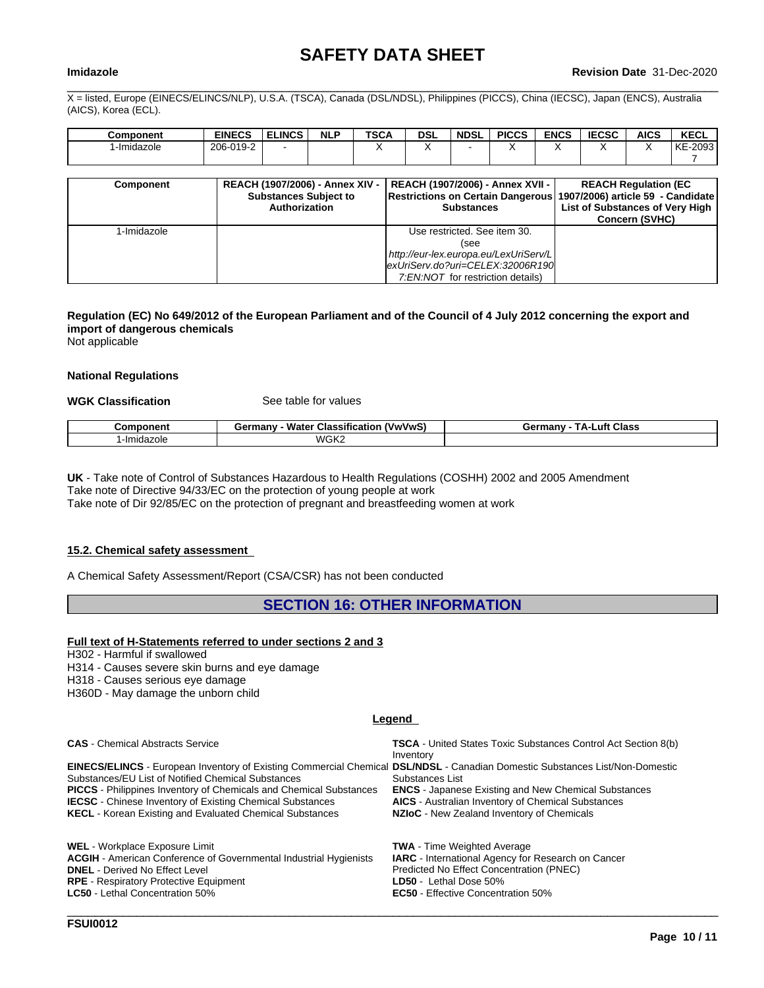$\_$  ,  $\_$  ,  $\_$  ,  $\_$  ,  $\_$  ,  $\_$  ,  $\_$  ,  $\_$  ,  $\_$  ,  $\_$  ,  $\_$  ,  $\_$  ,  $\_$  ,  $\_$  ,  $\_$  ,  $\_$  ,  $\_$  ,  $\_$  ,  $\_$  ,  $\_$  ,  $\_$  ,  $\_$  ,  $\_$  ,  $\_$  ,  $\_$  ,  $\_$  ,  $\_$  ,  $\_$  ,  $\_$  ,  $\_$  ,  $\_$  ,  $\_$  ,  $\_$  ,  $\_$  ,  $\_$  ,  $\_$  ,  $\_$  ,

X = listed, Europe (EINECS/ELINCS/NLP), U.S.A. (TSCA), Canada (DSL/NDSL), Philippines (PICCS), China (IECSC), Japan (ENCS), Australia (AICS), Korea (ECL).

| <b>Component</b> | <b>EINECS</b> | <b>ELINCS</b> | <b>NLP</b> | <b>TSCA</b> | <b>DSL</b> | <b>NDSL</b> | <b>PICCS</b> | <b>ENCS</b> | <b>IEOCO</b><br>:CSC | <b>AICS</b> | <b>KECL</b> |
|------------------|---------------|---------------|------------|-------------|------------|-------------|--------------|-------------|----------------------|-------------|-------------|
| l -Imidazole     | 206-019-2     |               |            |             |            |             | . .          |             |                      |             | KE-2093     |
|                  |               |               |            |             |            |             |              |             |                      |             |             |

| <b>Component</b> | REACH (1907/2006) - Annex XIV -<br><b>Substances Subject to</b><br>Authorization | REACH (1907/2006) - Annex XVII -  <br>Restrictions on Certain Dangerous 1907/2006) article 59 - Candidate<br><b>Substances</b> | <b>REACH Regulation (EC)</b><br>List of Substances of Very High<br><b>Concern (SVHC)</b> |
|------------------|----------------------------------------------------------------------------------|--------------------------------------------------------------------------------------------------------------------------------|------------------------------------------------------------------------------------------|
| I-Imidazole      |                                                                                  | Use restricted. See item 30.                                                                                                   |                                                                                          |
|                  |                                                                                  | (see                                                                                                                           |                                                                                          |
|                  |                                                                                  | http://eur-lex.europa.eu/LexUriServ/L                                                                                          |                                                                                          |
|                  |                                                                                  | exUriServ.do?uri=CELEX:32006R190                                                                                               |                                                                                          |
|                  |                                                                                  | 7:EN:NOT for restriction details)                                                                                              |                                                                                          |

#### Regulation (EC) No 649/2012 of the European Parliament and of the Council of 4 July 2012 concerning the export and **import of dangerous chemicals**

Not applicable

#### **National Regulations**

#### **WGK Classification** See table for values

| <b>onen</b> t     | $- - -$<br>Water<br>∵vwVwS.<br>dermany<br><b>Classification</b> | .uft<br>Class<br>ermanvث<br>ΤΔ. |
|-------------------|-----------------------------------------------------------------|---------------------------------|
| `-ImidaΣ.<br>zole | WGK2                                                            |                                 |

**UK** - Take note of Control of Substances Hazardous to Health Regulations (COSHH) 2002 and 2005 Amendment Take note of Directive 94/33/EC on the protection of young people at work

Take note of Dir 92/85/EC on the protection of pregnant and breastfeeding women at work

#### **15.2. Chemical safety assessment**

A Chemical Safety Assessment/Report (CSA/CSR) has not been conducted

#### **SECTION 16: OTHER INFORMATION**

#### **Full text of H-Statements referred to undersections 2 and 3**

H302 - Harmful if swallowed

- H314 Causes severe skin burns and eye damage
- H318 Causes serious eye damage
- H360D May damage the unborn child

#### **Legend**

**EC50** - Effective Concentration 50% \_\_\_\_\_\_\_\_\_\_\_\_\_\_\_\_\_\_\_\_\_\_\_\_\_\_\_\_\_\_\_\_\_\_\_\_\_\_\_\_\_\_\_\_\_\_\_\_\_\_\_\_\_\_\_\_\_\_\_\_\_\_\_\_\_\_\_\_\_\_\_\_\_\_\_\_\_\_\_\_\_\_\_\_\_\_\_\_\_\_\_\_\_\_

| <b>CAS</b> - Chemical Abstracts Service                                                                                                                                                                                                                                                                                                                                                                | <b>TSCA</b> - United States Toxic Substances Control Act Section 8(b)<br>Inventory                                                                                                        |
|--------------------------------------------------------------------------------------------------------------------------------------------------------------------------------------------------------------------------------------------------------------------------------------------------------------------------------------------------------------------------------------------------------|-------------------------------------------------------------------------------------------------------------------------------------------------------------------------------------------|
| EINECS/ELINCS - European Inventory of Existing Commercial Chemical DSL/NDSL - Canadian Domestic Substances List/Non-Domestic<br>Substances/EU List of Notified Chemical Substances<br><b>PICCS</b> - Philippines Inventory of Chemicals and Chemical Substances<br><b>IECSC</b> - Chinese Inventory of Existing Chemical Substances<br><b>KECL</b> - Korean Existing and Evaluated Chemical Substances | Substances List<br><b>ENCS</b> - Japanese Existing and New Chemical Substances<br><b>AICS</b> - Australian Inventory of Chemical Substances<br>NZIoC - New Zealand Inventory of Chemicals |
| <b>WEL</b> - Workplace Exposure Limit<br><b>ACGIH</b> - American Conference of Governmental Industrial Hygienists<br><b>DNEL</b> - Derived No Effect Level<br><b>DDE</b> - Pecniratory Protective Equipment                                                                                                                                                                                            | <b>TWA</b> - Time Weighted Average<br><b>IARC</b> - International Agency for Research on Cancer<br>Predicted No Effect Concentration (PNEC)<br><b>I N50</b> . I athal Nosa 50%            |

**RPE** - Respiratory Protective Equipment **LD50 Lethal Dose 50%**<br> **LC50** - Lethal Concentration 50% **LC50 LC50** - Effective Concent